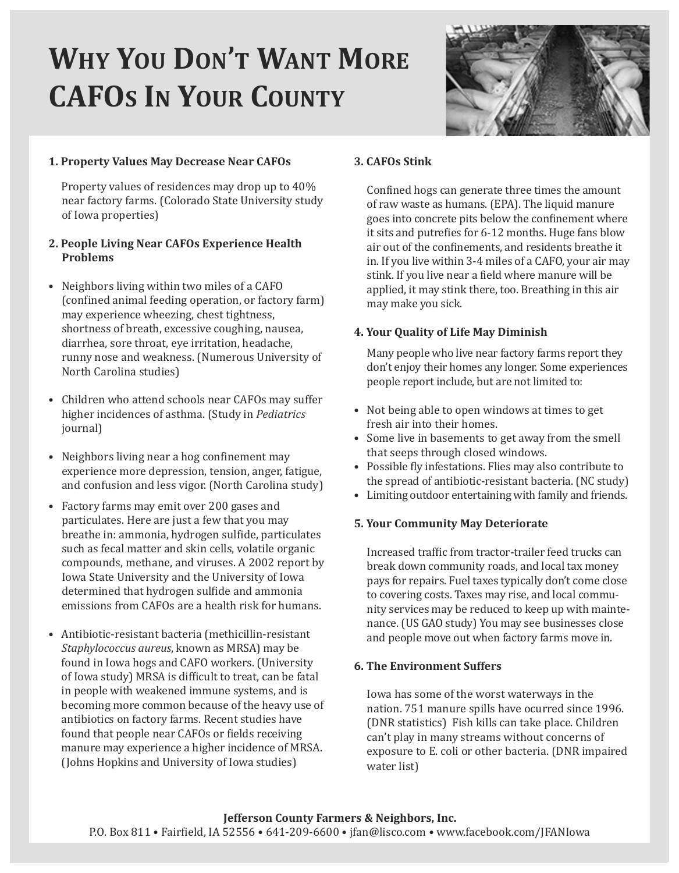# **WHY YOU DON'T WANT MORE CAFOS IN YOUR COUNTY**



## **1. Property Values May Decrease Near CAFOs**

Property values of residences may drop up to 40% near factory farms. (Colorado State University study of Iowa properties)

#### **2. People Living Near CAFOs Experience Health Problems**

- Neighbors living within two miles of a CAFO (confined animal feeding operation, or factory farm) may experience wheezing, chest tightness, shortness of breath, excessive coughing, nausea, diarrhea, sore throat, eye irritation, headache, runny nose and weakness. (Numerous University of North Carolina studies)
- Children who attend schools near CAFOs may suffer higher incidences of asthma. (Study in *Pediatrics* journal)
- Neighbors living near a hog confinement may experience more depression, tension, anger, fatigue, and confusion and less vigor. (North Carolina study)
- Factory farms may emit over 200 gases and particulates. Here are just a few that you may breathe in: ammonia, hydrogen sulfide, particulates such as fecal matter and skin cells, volatile organic compounds, methane, and viruses. A 2002 report by Iowa State University and the University of Iowa determined that hydrogen sulfide and ammonia emissions from CAFOs are a health risk for humans.
- Antibiotic-resistant bacteria (methicillin-resistant *Staphylococcus aureus*, known as MRSA) may be found in Iowa hogs and CAFO workers. (University of Iowa study) MRSA is difficult to treat, can be fatal in people with weakened immune systems, and is becoming more common because of the heavy use of antibiotics on factory farms. Recent studies have found that people near CAFOs or fields receiving manure may experience a higher incidence of MRSA. (Johns Hopkins and University of Iowa studies)

#### **3. CAFOs Stink**

Confined hogs can generate three times the amount of raw waste as humans. (EPA). The liquid manure goes into concrete pits below the confinement where it sits and putrefies for 6-12 months. Huge fans blow air out of the confinements, and residents breathe it in. If you live within 3-4 miles of a CAFO, your air may stink. If you live near a field where manure will be applied, it may stink there, too. Breathing in this air may make you sick.

## **4. Your Quality of Life May Diminish**

Many people who live near factory farms report they don't enjoy their homes any longer. Some experiences people report include, but are not limited to:

- Not being able to open windows at times to get fresh air into their homes.
- Some live in basements to get away from the smell that seeps through closed windows.
- Possible fly infestations. Flies may also contribute to the spread of antibiotic-resistant bacteria. (NC study)
- Limiting outdoor entertaining with family and friends.

#### **5. Your Community May Deteriorate**

Increased traffic from tractor-trailer feed trucks can break down community roads, and local tax money pays for repairs. Fuel taxes typically don't come close to covering costs. Taxes may rise, and local community services may be reduced to keep up with maintenance. (US GAO study) You may see businesses close and people move out when factory farms move in.

#### **6. The Environment Suffers**

Iowa has some of the worst waterways in the nation. 751 manure spills have ocurred since 1996. (DNR statistics) Fish kills can take place. Children can't play in many streams without concerns of exposure to E. coli or other bacteria. (DNR impaired water list)